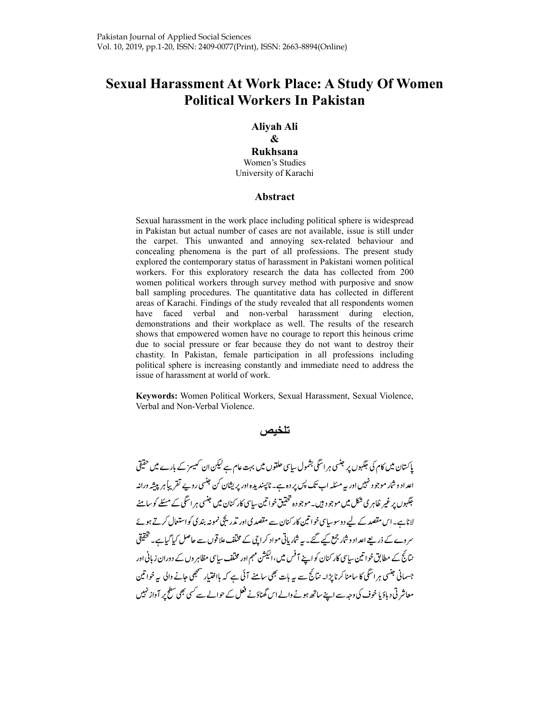# Sexual Harassment At Work Place: A Study Of Women Political Workers In Pakistan

# Aliyah Ali

# &

#### Rukhsana

Women's Studies University of Karachi

### Abstract

Sexual harassment in the work place including political sphere is widespread in Pakistan but actual number of cases are not available, issue is still under the carpet. This unwanted and annoying sex-related behaviour and concealing phenomena is the part of all professions. The present study explored the contemporary status of harassment in Pakistani women political workers. For this exploratory research the data has collected from 200 women political workers through survey method with purposive and snow ball sampling procedures. The quantitative data has collected in different areas of Karachi. Findings of the study revealed that all respondents women have faced verbal and non-verbal harassment during election, demonstrations and their workplace as well. The results of the research shows that empowered women have no courage to report this heinous crime due to social pressure or fear because they do not want to destroy their chastity. In Pakistan, female participation in all professions including political sphere is increasing constantly and immediate need to address the issue of harassment at world of work.

Keywords: Women Political Workers, Sexual Harassment, Sexual Violence, Verbal and Non-Verbal Violence.

# تلخيص

پاکستان میں کام کی جگہوں پر جنسی ہر اسگی بشمول ساسی حلقوں میں بہت عام ہے کیکن ان کیسز کے بارے میں حقیقی اعداد و شار موجو د نہیں اور بہ مسکلہ اب تک پس پر دہ ہے۔ ناپسندیدہ اور پریشان کن جنسی روپے تقریباً ہر پیشِہ درانہ جگہوں پر غیر ظاہر ی شکل میں موجو د ہیں۔ موجو دہ تحقیق خواتین سای<sup>س</sup>ی کار کنان میں جنسی ہر اسگی کے مسئلے کو سامنے لاناہے۔اس مقصد کے لیے دوسوساسی خواتین کار کنان سے مقصد کی اور تدریجی نمونہ بند کی کواستعال کرتے ہوئے سر وے کے ذریعے اعداد وشار جمع کیے گئے۔ یہ شار پانی مواد کراچی کے مخلف علاقوں سے حاصل کیا گیاہے۔ تحقیقی نتائج کے مطابق خواتین سایپی کار کنان کو اپنے آفس میں،الیکشن مہم اور مخلف سایپی مظاہر وں کے دوران زبانی اور جسمانی جنسی ہر اسگی کا سامنا کرنا پڑا۔ نبائج سے یہ بات بھی سامنے آئی ہے کہ بااختیار سمجھی جانے والی یہ خواتین معاشر ٹی دیاؤ یا خوف کی وجہ سے اپنے ساتھ ہونے والے اس گھناؤنے فعل کے حوالے سے کسی بھی سطح پر آواز نہیں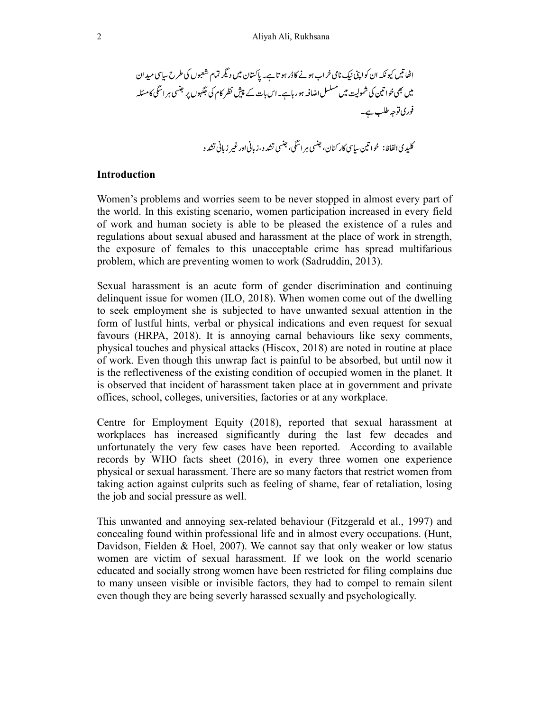کلیډ ي الفاظ: خواتين ساسي کار کنان، جنسي ہر اسگي، جنسي تشد د ،زياني اور غير زياني تشد د

#### Introduction

Women's problems and worries seem to be never stopped in almost every part of the world. In this existing scenario, women participation increased in every field of work and human society is able to be pleased the existence of a rules and regulations about sexual abused and harassment at the place of work in strength, the exposure of females to this unacceptable crime has spread multifarious problem, which are preventing women to work (Sadruddin, 2013).

Sexual harassment is an acute form of gender discrimination and continuing delinquent issue for women (ILO, 2018). When women come out of the dwelling to seek employment she is subjected to have unwanted sexual attention in the form of lustful hints, verbal or physical indications and even request for sexual favours (HRPA, 2018). It is annoying carnal behaviours like sexy comments, physical touches and physical attacks (Hiscox, 2018) are noted in routine at place of work. Even though this unwrap fact is painful to be absorbed, but until now it is the reflectiveness of the existing condition of occupied women in the planet. It is observed that incident of harassment taken place at in government and private offices, school, colleges, universities, factories or at any workplace.

Centre for Employment Equity (2018), reported that sexual harassment at workplaces has increased significantly during the last few decades and unfortunately the very few cases have been reported. According to available records by WHO facts sheet (2016), in every three women one experience physical or sexual harassment. There are so many factors that restrict women from taking action against culprits such as feeling of shame, fear of retaliation, losing the job and social pressure as well.

This unwanted and annoying sex-related behaviour (Fitzgerald et al., 1997) and concealing found within professional life and in almost every occupations. (Hunt, Davidson, Fielden & Hoel, 2007). We cannot say that only weaker or low status women are victim of sexual harassment. If we look on the world scenario educated and socially strong women have been restricted for filing complains due to many unseen visible or invisible factors, they had to compel to remain silent even though they are being severly harassed sexually and psychologically.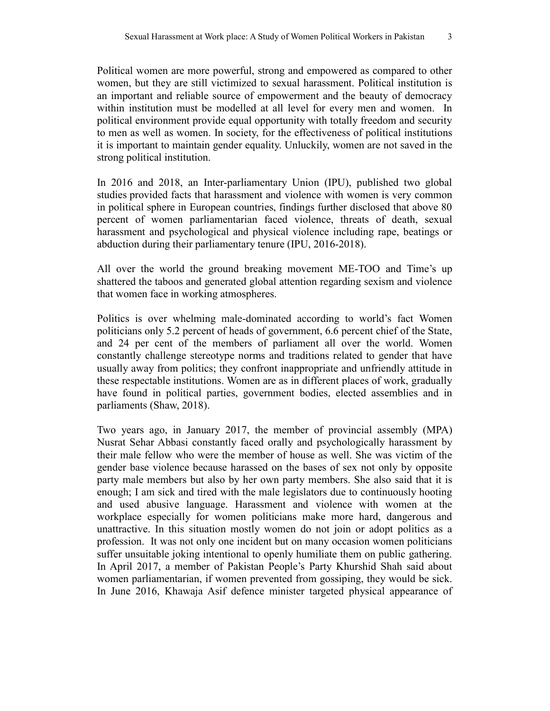Political women are more powerful, strong and empowered as compared to other women, but they are still victimized to sexual harassment. Political institution is an important and reliable source of empowerment and the beauty of democracy within institution must be modelled at all level for every men and women. In political environment provide equal opportunity with totally freedom and security to men as well as women. In society, for the effectiveness of political institutions it is important to maintain gender equality. Unluckily, women are not saved in the strong political institution.

In 2016 and 2018, an Inter-parliamentary Union (IPU), published two global studies provided facts that harassment and violence with women is very common in political sphere in European countries, findings further disclosed that above 80 percent of women parliamentarian faced violence, threats of death, sexual harassment and psychological and physical violence including rape, beatings or abduction during their parliamentary tenure (IPU, 2016-2018).

All over the world the ground breaking movement ME-TOO and Time's up shattered the taboos and generated global attention regarding sexism and violence that women face in working atmospheres.

Politics is over whelming male-dominated according to world's fact Women politicians only 5.2 percent of heads of government, 6.6 percent chief of the State, and 24 per cent of the members of parliament all over the world. Women constantly challenge stereotype norms and traditions related to gender that have usually away from politics; they confront inappropriate and unfriendly attitude in these respectable institutions. Women are as in different places of work, gradually have found in political parties, government bodies, elected assemblies and in parliaments (Shaw, 2018).

Two years ago, in January 2017, the member of provincial assembly (MPA) Nusrat Sehar Abbasi constantly faced orally and psychologically harassment by their male fellow who were the member of house as well. She was victim of the gender base violence because harassed on the bases of sex not only by opposite party male members but also by her own party members. She also said that it is enough; I am sick and tired with the male legislators due to continuously hooting and used abusive language. Harassment and violence with women at the workplace especially for women politicians make more hard, dangerous and unattractive. In this situation mostly women do not join or adopt politics as a profession. It was not only one incident but on many occasion women politicians suffer unsuitable joking intentional to openly humiliate them on public gathering. In April 2017, a member of Pakistan People's Party Khurshid Shah said about women parliamentarian, if women prevented from gossiping, they would be sick. In June 2016, Khawaja Asif defence minister targeted physical appearance of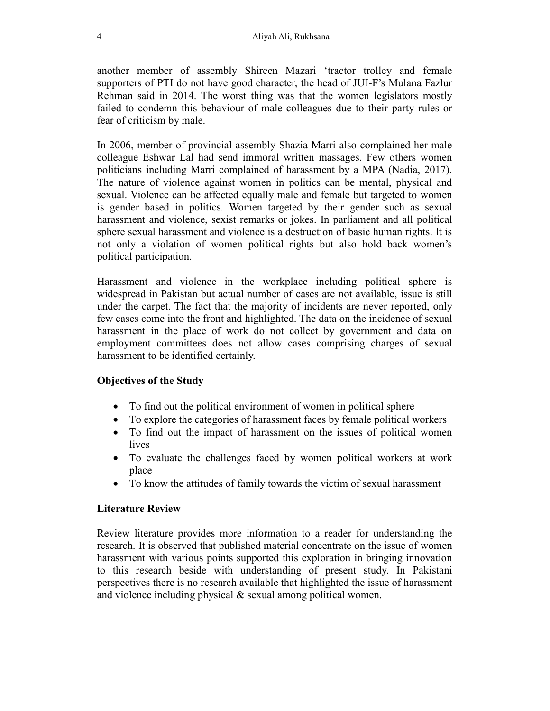another member of assembly Shireen Mazari 'tractor trolley and female supporters of PTI do not have good character, the head of JUI-F's Mulana Fazlur Rehman said in 2014. The worst thing was that the women legislators mostly failed to condemn this behaviour of male colleagues due to their party rules or fear of criticism by male.

In 2006, member of provincial assembly Shazia Marri also complained her male colleague Eshwar Lal had send immoral written massages. Few others women politicians including Marri complained of harassment by a MPA (Nadia, 2017). The nature of violence against women in politics can be mental, physical and sexual. Violence can be affected equally male and female but targeted to women is gender based in politics. Women targeted by their gender such as sexual harassment and violence, sexist remarks or jokes. In parliament and all political sphere sexual harassment and violence is a destruction of basic human rights. It is not only a violation of women political rights but also hold back women's political participation.

Harassment and violence in the workplace including political sphere is widespread in Pakistan but actual number of cases are not available, issue is still under the carpet. The fact that the majority of incidents are never reported, only few cases come into the front and highlighted. The data on the incidence of sexual harassment in the place of work do not collect by government and data on employment committees does not allow cases comprising charges of sexual harassment to be identified certainly.

# Objectives of the Study

- To find out the political environment of women in political sphere
- To explore the categories of harassment faces by female political workers
- To find out the impact of harassment on the issues of political women lives
- To evaluate the challenges faced by women political workers at work place
- To know the attitudes of family towards the victim of sexual harassment

# Literature Review

Review literature provides more information to a reader for understanding the research. It is observed that published material concentrate on the issue of women harassment with various points supported this exploration in bringing innovation to this research beside with understanding of present study. In Pakistani perspectives there is no research available that highlighted the issue of harassment and violence including physical & sexual among political women.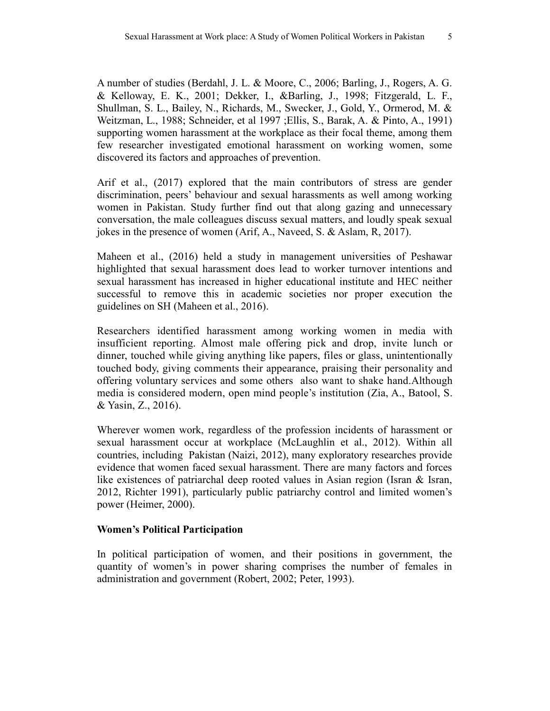A number of studies (Berdahl, J. L. & Moore, C., 2006; Barling, J., Rogers, A. G. & Kelloway, E. K., 2001; Dekker, I., &Barling, J., 1998; Fitzgerald, L. F., Shullman, S. L., Bailey, N., Richards, M., Swecker, J., Gold, Y., Ormerod, M. & Weitzman, L., 1988; Schneider, et al 1997 ;Ellis, S., Barak, A. & Pinto, A., 1991) supporting women harassment at the workplace as their focal theme, among them few researcher investigated emotional harassment on working women, some discovered its factors and approaches of prevention.

Arif et al., (2017) explored that the main contributors of stress are gender discrimination, peers' behaviour and sexual harassments as well among working women in Pakistan. Study further find out that along gazing and unnecessary conversation, the male colleagues discuss sexual matters, and loudly speak sexual jokes in the presence of women (Arif, A., Naveed, S. & Aslam, R, 2017).

Maheen et al., (2016) held a study in management universities of Peshawar highlighted that sexual harassment does lead to worker turnover intentions and sexual harassment has increased in higher educational institute and HEC neither successful to remove this in academic societies nor proper execution the guidelines on SH (Maheen et al., 2016).

Researchers identified harassment among working women in media with insufficient reporting. Almost male offering pick and drop, invite lunch or dinner, touched while giving anything like papers, files or glass, unintentionally touched body, giving comments their appearance, praising their personality and offering voluntary services and some others also want to shake hand.Although media is considered modern, open mind people's institution (Zia, A., Batool, S. & Yasin, Z., 2016).

Wherever women work, regardless of the profession incidents of harassment or sexual harassment occur at workplace (McLaughlin et al., 2012). Within all countries, including Pakistan (Naizi, 2012), many exploratory researches provide evidence that women faced sexual harassment. There are many factors and forces like existences of patriarchal deep rooted values in Asian region (Isran & Isran, 2012, Richter 1991), particularly public patriarchy control and limited women's power (Heimer, 2000).

# Women's Political Participation

In political participation of women, and their positions in government, the quantity of women's in power sharing comprises the number of females in administration and government (Robert, 2002; Peter, 1993).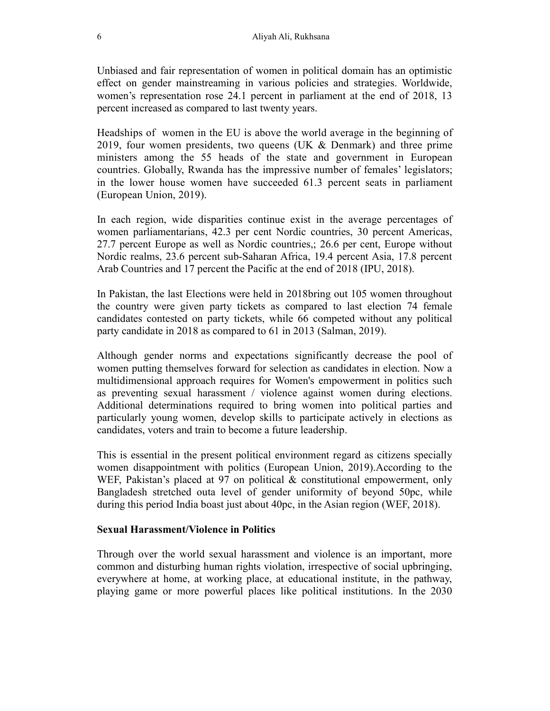Unbiased and fair representation of women in political domain has an optimistic effect on gender mainstreaming in various policies and strategies. Worldwide, women's representation rose 24.1 percent in parliament at the end of 2018, 13 percent increased as compared to last twenty years.

Headships of women in the EU is above the world average in the beginning of 2019, four women presidents, two queens (UK  $\&$  Denmark) and three prime ministers among the 55 heads of the state and government in European countries. Globally, Rwanda has the impressive number of females' legislators; in the lower house women have succeeded 61.3 percent seats in parliament (European Union, 2019).

In each region, wide disparities continue exist in the average percentages of women parliamentarians, 42.3 per cent Nordic countries, 30 percent Americas, 27.7 percent Europe as well as Nordic countries,; 26.6 per cent, Europe without Nordic realms, 23.6 percent sub-Saharan Africa, 19.4 percent Asia, 17.8 percent Arab Countries and 17 percent the Pacific at the end of 2018 (IPU, 2018).

In Pakistan, the last Elections were held in 2018bring out 105 women throughout the country were given party tickets as compared to last election 74 female candidates contested on party tickets, while 66 competed without any political party candidate in 2018 as compared to 61 in 2013 (Salman, 2019).

Although gender norms and expectations significantly decrease the pool of women putting themselves forward for selection as candidates in election. Now a multidimensional approach requires for Women's empowerment in politics such as preventing sexual harassment / violence against women during elections. Additional determinations required to bring women into political parties and particularly young women, develop skills to participate actively in elections as candidates, voters and train to become a future leadership.

This is essential in the present political environment regard as citizens specially women disappointment with politics (European Union, 2019).According to the WEF, Pakistan's placed at 97 on political & constitutional empowerment, only Bangladesh stretched outa level of gender uniformity of beyond 50pc, while during this period India boast just about 40pc, in the Asian region (WEF, 2018).

#### Sexual Harassment/Violence in Politics

Through over the world sexual harassment and violence is an important, more common and disturbing human rights violation, irrespective of social upbringing, everywhere at home, at working place, at educational institute, in the pathway, playing game or more powerful places like political institutions. In the 2030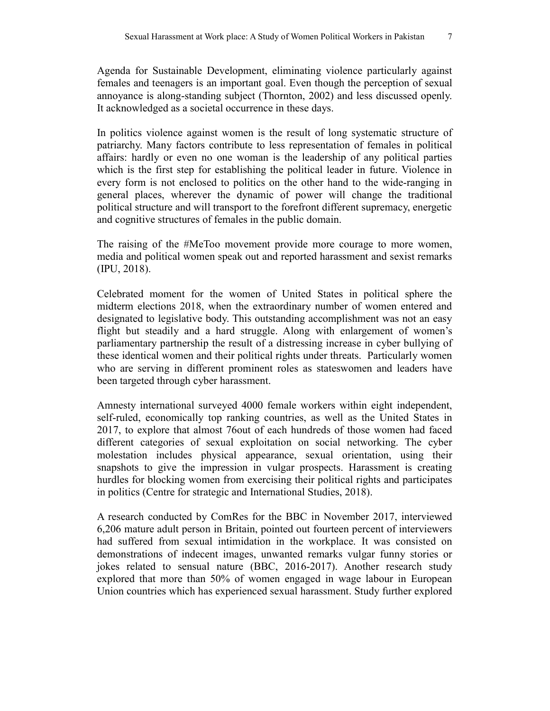Agenda for Sustainable Development, eliminating violence particularly against females and teenagers is an important goal. Even though the perception of sexual annoyance is along-standing subject (Thornton, 2002) and less discussed openly. It acknowledged as a societal occurrence in these days.

In politics violence against women is the result of long systematic structure of patriarchy. Many factors contribute to less representation of females in political affairs: hardly or even no one woman is the leadership of any political parties which is the first step for establishing the political leader in future. Violence in every form is not enclosed to politics on the other hand to the wide-ranging in general places, wherever the dynamic of power will change the traditional political structure and will transport to the forefront different supremacy, energetic and cognitive structures of females in the public domain.

The raising of the #MeToo movement provide more courage to more women, media and political women speak out and reported harassment and sexist remarks (IPU, 2018).

Celebrated moment for the women of United States in political sphere the midterm elections 2018, when the extraordinary number of women entered and designated to legislative body. This outstanding accomplishment was not an easy flight but steadily and a hard struggle. Along with enlargement of women's parliamentary partnership the result of a distressing increase in cyber bullying of these identical women and their political rights under threats. Particularly women who are serving in different prominent roles as stateswomen and leaders have been targeted through cyber harassment.

Amnesty international surveyed 4000 female workers within eight independent, self-ruled, economically top ranking countries, as well as the United States in 2017, to explore that almost 76out of each hundreds of those women had faced different categories of sexual exploitation on social networking. The cyber molestation includes physical appearance, sexual orientation, using their snapshots to give the impression in vulgar prospects. Harassment is creating hurdles for blocking women from exercising their political rights and participates in politics (Centre for strategic and International Studies, 2018).

A research conducted by ComRes for the BBC in November 2017, interviewed 6,206 mature adult person in Britain, pointed out fourteen percent of interviewers had suffered from sexual intimidation in the workplace. It was consisted on demonstrations of indecent images, unwanted remarks vulgar funny stories or jokes related to sensual nature (BBC, 2016-2017). Another research study explored that more than 50% of women engaged in wage labour in European Union countries which has experienced sexual harassment. Study further explored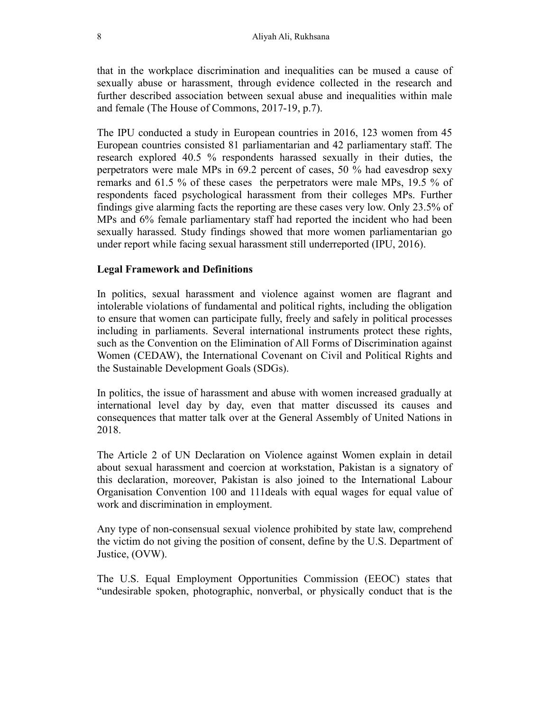that in the workplace discrimination and inequalities can be mused a cause of sexually abuse or harassment, through evidence collected in the research and further described association between sexual abuse and inequalities within male and female (The House of Commons, 2017-19, p.7).

The IPU conducted a study in European countries in 2016, 123 women from 45 European countries consisted 81 parliamentarian and 42 parliamentary staff. The research explored 40.5 % respondents harassed sexually in their duties, the perpetrators were male MPs in 69.2 percent of cases, 50 % had eavesdrop sexy remarks and 61.5 % of these cases the perpetrators were male MPs, 19.5 % of respondents faced psychological harassment from their colleges MPs. Further findings give alarming facts the reporting are these cases very low. Only 23.5% of MPs and 6% female parliamentary staff had reported the incident who had been sexually harassed. Study findings showed that more women parliamentarian go under report while facing sexual harassment still underreported (IPU, 2016).

#### Legal Framework and Definitions

In politics, sexual harassment and violence against women are flagrant and intolerable violations of fundamental and political rights, including the obligation to ensure that women can participate fully, freely and safely in political processes including in parliaments. Several international instruments protect these rights, such as the Convention on the Elimination of All Forms of Discrimination against Women (CEDAW), the International Covenant on Civil and Political Rights and the Sustainable Development Goals (SDGs).

In politics, the issue of harassment and abuse with women increased gradually at international level day by day, even that matter discussed its causes and consequences that matter talk over at the General Assembly of United Nations in 2018.

The Article 2 of UN Declaration on Violence against Women explain in detail about sexual harassment and coercion at workstation, Pakistan is a signatory of this declaration, moreover, Pakistan is also joined to the International Labour Organisation Convention 100 and 111deals with equal wages for equal value of work and discrimination in employment.

Any type of non-consensual sexual violence prohibited by state law, comprehend the victim do not giving the position of consent, define by the U.S. Department of Justice, (OVW).

The U.S. Equal Employment Opportunities Commission (EEOC) states that "undesirable spoken, photographic, nonverbal, or physically conduct that is the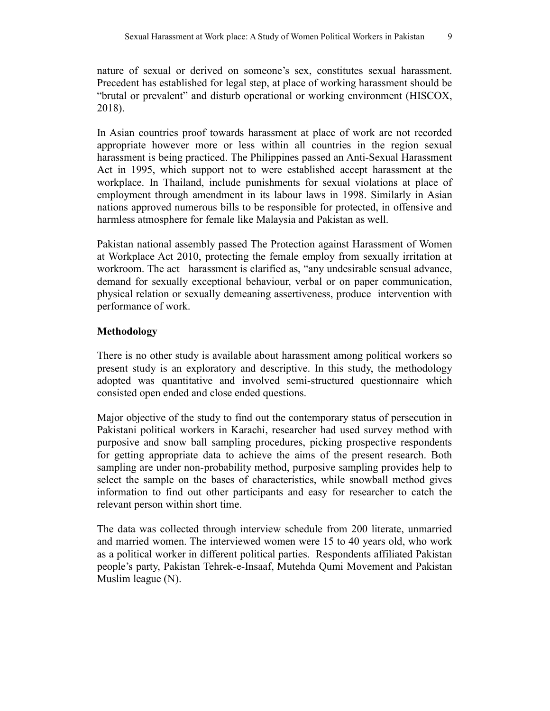nature of sexual or derived on someone's sex, constitutes sexual harassment. Precedent has established for legal step, at place of working harassment should be "brutal or prevalent" and disturb operational or working environment (HISCOX, 2018).

In Asian countries proof towards harassment at place of work are not recorded appropriate however more or less within all countries in the region sexual harassment is being practiced. The Philippines passed an Anti-Sexual Harassment Act in 1995, which support not to were established accept harassment at the workplace. In Thailand, include punishments for sexual violations at place of employment through amendment in its labour laws in 1998. Similarly in Asian nations approved numerous bills to be responsible for protected, in offensive and harmless atmosphere for female like Malaysia and Pakistan as well.

Pakistan national assembly passed The Protection against Harassment of Women at Workplace Act 2010, protecting the female employ from sexually irritation at workroom. The act harassment is clarified as, "any undesirable sensual advance, demand for sexually exceptional behaviour, verbal or on paper communication, physical relation or sexually demeaning assertiveness, produce intervention with performance of work.

# Methodology

There is no other study is available about harassment among political workers so present study is an exploratory and descriptive. In this study, the methodology adopted was quantitative and involved semi-structured questionnaire which consisted open ended and close ended questions.

Major objective of the study to find out the contemporary status of persecution in Pakistani political workers in Karachi, researcher had used survey method with purposive and snow ball sampling procedures, picking prospective respondents for getting appropriate data to achieve the aims of the present research. Both sampling are under non-probability method, purposive sampling provides help to select the sample on the bases of characteristics, while snowball method gives information to find out other participants and easy for researcher to catch the relevant person within short time.

The data was collected through interview schedule from 200 literate, unmarried and married women. The interviewed women were 15 to 40 years old, who work as a political worker in different political parties. Respondents affiliated Pakistan people's party, Pakistan Tehrek-e-Insaaf, Mutehda Qumi Movement and Pakistan Muslim league (N).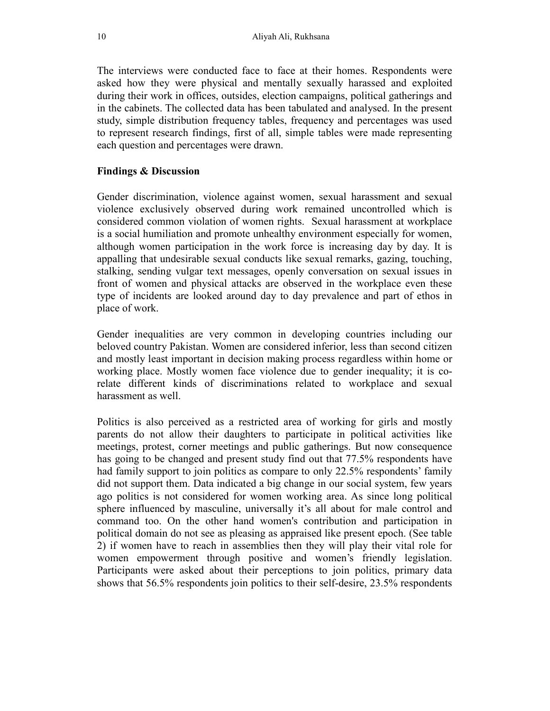The interviews were conducted face to face at their homes. Respondents were asked how they were physical and mentally sexually harassed and exploited during their work in offices, outsides, election campaigns, political gatherings and in the cabinets. The collected data has been tabulated and analysed. In the present study, simple distribution frequency tables, frequency and percentages was used to represent research findings, first of all, simple tables were made representing each question and percentages were drawn.

### Findings & Discussion

Gender discrimination, violence against women, sexual harassment and sexual violence exclusively observed during work remained uncontrolled which is considered common violation of women rights. Sexual harassment at workplace is a social humiliation and promote unhealthy environment especially for women, although women participation in the work force is increasing day by day. It is appalling that undesirable sexual conducts like sexual remarks, gazing, touching, stalking, sending vulgar text messages, openly conversation on sexual issues in front of women and physical attacks are observed in the workplace even these type of incidents are looked around day to day prevalence and part of ethos in place of work.

Gender inequalities are very common in developing countries including our beloved country Pakistan. Women are considered inferior, less than second citizen and mostly least important in decision making process regardless within home or working place. Mostly women face violence due to gender inequality; it is corelate different kinds of discriminations related to workplace and sexual harassment as well.

Politics is also perceived as a restricted area of working for girls and mostly parents do not allow their daughters to participate in political activities like meetings, protest, corner meetings and public gatherings. But now consequence has going to be changed and present study find out that 77.5% respondents have had family support to join politics as compare to only 22.5% respondents' family did not support them. Data indicated a big change in our social system, few years ago politics is not considered for women working area. As since long political sphere influenced by masculine, universally it's all about for male control and command too. On the other hand women's contribution and participation in political domain do not see as pleasing as appraised like present epoch. (See table 2) if women have to reach in assemblies then they will play their vital role for women empowerment through positive and women's friendly legislation. Participants were asked about their perceptions to join politics, primary data shows that 56.5% respondents join politics to their self-desire, 23.5% respondents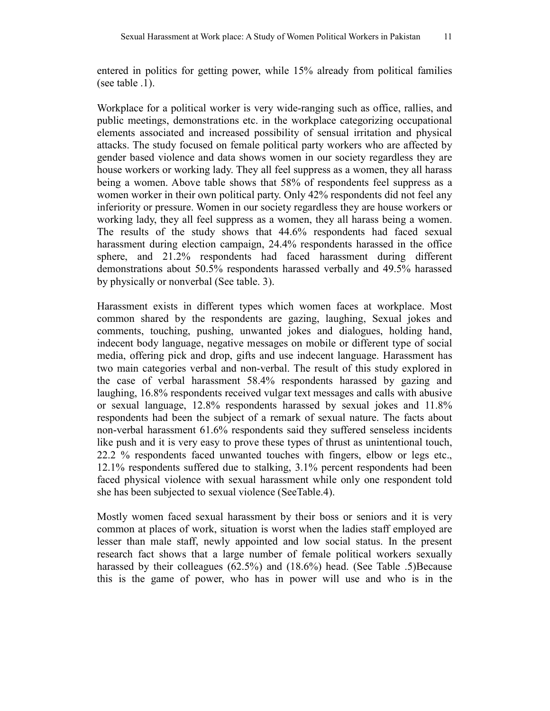entered in politics for getting power, while 15% already from political families (see table .1).

Workplace for a political worker is very wide-ranging such as office, rallies, and public meetings, demonstrations etc. in the workplace categorizing occupational elements associated and increased possibility of sensual irritation and physical attacks. The study focused on female political party workers who are affected by gender based violence and data shows women in our society regardless they are house workers or working lady. They all feel suppress as a women, they all harass being a women. Above table shows that 58% of respondents feel suppress as a women worker in their own political party. Only 42% respondents did not feel any inferiority or pressure. Women in our society regardless they are house workers or working lady, they all feel suppress as a women, they all harass being a women. The results of the study shows that 44.6% respondents had faced sexual harassment during election campaign, 24.4% respondents harassed in the office sphere, and 21.2% respondents had faced harassment during different demonstrations about 50.5% respondents harassed verbally and 49.5% harassed by physically or nonverbal (See table. 3).

Harassment exists in different types which women faces at workplace. Most common shared by the respondents are gazing, laughing, Sexual jokes and comments, touching, pushing, unwanted jokes and dialogues, holding hand, indecent body language, negative messages on mobile or different type of social media, offering pick and drop, gifts and use indecent language. Harassment has two main categories verbal and non-verbal. The result of this study explored in the case of verbal harassment 58.4% respondents harassed by gazing and laughing, 16.8% respondents received vulgar text messages and calls with abusive or sexual language, 12.8% respondents harassed by sexual jokes and 11.8% respondents had been the subject of a remark of sexual nature. The facts about non-verbal harassment 61.6% respondents said they suffered senseless incidents like push and it is very easy to prove these types of thrust as unintentional touch, 22.2 % respondents faced unwanted touches with fingers, elbow or legs etc., 12.1% respondents suffered due to stalking, 3.1% percent respondents had been faced physical violence with sexual harassment while only one respondent told she has been subjected to sexual violence (SeeTable.4).

Mostly women faced sexual harassment by their boss or seniors and it is very common at places of work, situation is worst when the ladies staff employed are lesser than male staff, newly appointed and low social status. In the present research fact shows that a large number of female political workers sexually harassed by their colleagues (62.5%) and (18.6%) head. (See Table .5)Because this is the game of power, who has in power will use and who is in the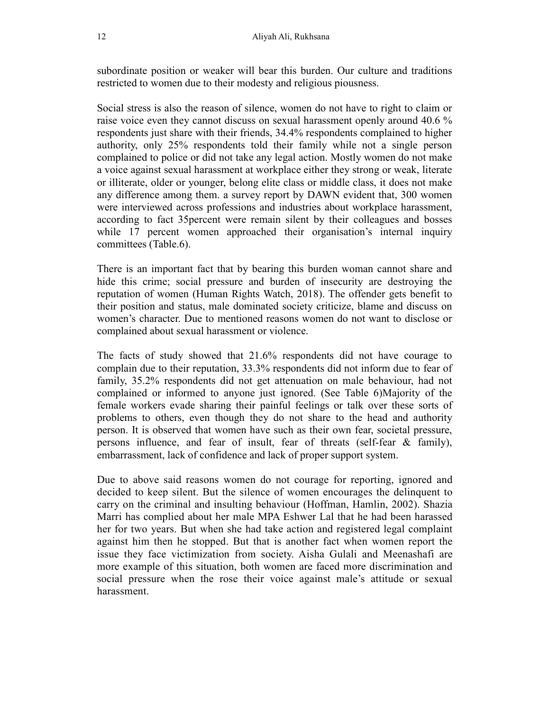subordinate position or weaker will bear this burden. Our culture and traditions restricted to women due to their modesty and religious piousness.

Social stress is also the reason of silence, women do not have to right to claim or raise voice even they cannot discuss on sexual harassment openly around 40.6 % respondents just share with their friends, 34.4% respondents complained to higher authority, only 25% respondents told their family while not a single person complained to police or did not take any legal action. Mostly women do not make a voice against sexual harassment at workplace either they strong or weak, literate or illiterate, older or younger, belong elite class or middle class, it does not make any difference among them. a survey report by DAWN evident that, 300 women were interviewed across professions and industries about workplace harassment, according to fact 35percent were remain silent by their colleagues and bosses while 17 percent women approached their organisation's internal inquiry committees (Table.6).

There is an important fact that by bearing this burden woman cannot share and hide this crime; social pressure and burden of insecurity are destroying the reputation of women (Human Rights Watch, 2018). The offender gets benefit to their position and status, male dominated society criticize, blame and discuss on women's character. Due to mentioned reasons women do not want to disclose or complained about sexual harassment or violence.

The facts of study showed that 21.6% respondents did not have courage to complain due to their reputation, 33.3% respondents did not inform due to fear of family, 35.2% respondents did not get attenuation on male behaviour, had not complained or informed to anyone just ignored. (See Table 6)Majority of the female workers evade sharing their painful feelings or talk over these sorts of problems to others, even though they do not share to the head and authority person. It is observed that women have such as their own fear, societal pressure, persons influence, and fear of insult, fear of threats (self-fear & family), embarrassment, lack of confidence and lack of proper support system.

Due to above said reasons women do not courage for reporting, ignored and decided to keep silent. But the silence of women encourages the delinquent to carry on the criminal and insulting behaviour (Hoffman, Hamlin, 2002). Shazia Marri has complied about her male MPA Eshwer Lal that he had been harassed her for two years. But when she had take action and registered legal complaint against him then he stopped. But that is another fact when women report the issue they face victimization from society. Aisha Gulali and Meenashafi are more example of this situation, both women are faced more discrimination and social pressure when the rose their voice against male's attitude or sexual harassment.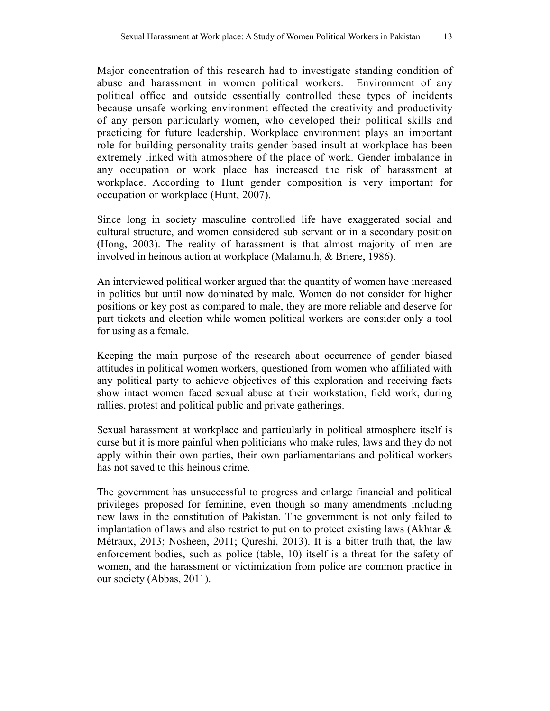Major concentration of this research had to investigate standing condition of abuse and harassment in women political workers. Environment of any political office and outside essentially controlled these types of incidents because unsafe working environment effected the creativity and productivity of any person particularly women, who developed their political skills and practicing for future leadership. Workplace environment plays an important role for building personality traits gender based insult at workplace has been extremely linked with atmosphere of the place of work. Gender imbalance in any occupation or work place has increased the risk of harassment at workplace. According to Hunt gender composition is very important for occupation or workplace (Hunt, 2007).

Since long in society masculine controlled life have exaggerated social and cultural structure, and women considered sub servant or in a secondary position (Hong, 2003). The reality of harassment is that almost majority of men are involved in heinous action at workplace (Malamuth, & Briere, 1986).

An interviewed political worker argued that the quantity of women have increased in politics but until now dominated by male. Women do not consider for higher positions or key post as compared to male, they are more reliable and deserve for part tickets and election while women political workers are consider only a tool for using as a female.

Keeping the main purpose of the research about occurrence of gender biased attitudes in political women workers, questioned from women who affiliated with any political party to achieve objectives of this exploration and receiving facts show intact women faced sexual abuse at their workstation, field work, during rallies, protest and political public and private gatherings.

Sexual harassment at workplace and particularly in political atmosphere itself is curse but it is more painful when politicians who make rules, laws and they do not apply within their own parties, their own parliamentarians and political workers has not saved to this heinous crime.

The government has unsuccessful to progress and enlarge financial and political privileges proposed for feminine, even though so many amendments including new laws in the constitution of Pakistan. The government is not only failed to implantation of laws and also restrict to put on to protect existing laws (Akhtar & Métraux, 2013; Nosheen, 2011; Qureshi, 2013). It is a bitter truth that, the law enforcement bodies, such as police (table, 10) itself is a threat for the safety of women, and the harassment or victimization from police are common practice in our society (Abbas, 2011).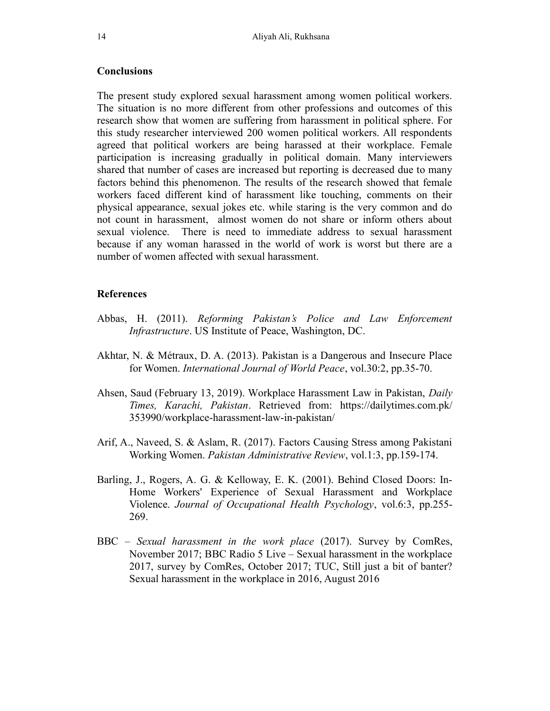### **Conclusions**

The present study explored sexual harassment among women political workers. The situation is no more different from other professions and outcomes of this research show that women are suffering from harassment in political sphere. For this study researcher interviewed 200 women political workers. All respondents agreed that political workers are being harassed at their workplace. Female participation is increasing gradually in political domain. Many interviewers shared that number of cases are increased but reporting is decreased due to many factors behind this phenomenon. The results of the research showed that female workers faced different kind of harassment like touching, comments on their physical appearance, sexual jokes etc. while staring is the very common and do not count in harassment, almost women do not share or inform others about sexual violence. There is need to immediate address to sexual harassment because if any woman harassed in the world of work is worst but there are a number of women affected with sexual harassment.

#### References

- Abbas, H. (2011). Reforming Pakistan's Police and Law Enforcement Infrastructure. US Institute of Peace, Washington, DC.
- Akhtar, N. & Métraux, D. A. (2013). Pakistan is a Dangerous and Insecure Place for Women. International Journal of World Peace, vol.30:2, pp.35-70.
- Ahsen, Saud (February 13, 2019). Workplace Harassment Law in Pakistan, Daily Times, Karachi, Pakistan. Retrieved from: https://dailytimes.com.pk/ 353990/workplace-harassment-law-in-pakistan/
- Arif, A., Naveed, S. & Aslam, R. (2017). Factors Causing Stress among Pakistani Working Women. Pakistan Administrative Review, vol.1:3, pp.159-174.
- Barling, J., Rogers, A. G. & Kelloway, E. K. (2001). Behind Closed Doors: In-Home Workers' Experience of Sexual Harassment and Workplace Violence. Journal of Occupational Health Psychology, vol.6:3, pp.255- 269.
- BBC Sexual harassment in the work place (2017). Survey by ComRes, November 2017; BBC Radio 5 Live – Sexual harassment in the workplace 2017, survey by ComRes, October 2017; TUC, Still just a bit of banter? Sexual harassment in the workplace in 2016, August 2016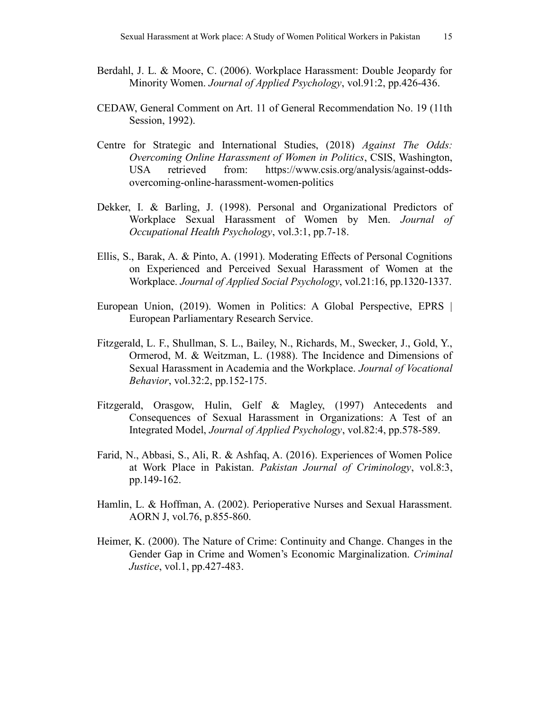- Berdahl, J. L. & Moore, C. (2006). Workplace Harassment: Double Jeopardy for Minority Women. *Journal of Applied Psychology*, vol.91:2, pp.426-436.
- CEDAW, General Comment on Art. 11 of General Recommendation No. 19 (11th Session, 1992).
- Centre for Strategic and International Studies, (2018) Against The Odds: Overcoming Online Harassment of Women in Politics, CSIS, Washington, USA retrieved from: https://www.csis.org/analysis/against-oddsovercoming-online-harassment-women-politics
- Dekker, I. & Barling, J. (1998). Personal and Organizational Predictors of Workplace Sexual Harassment of Women by Men. Journal of Occupational Health Psychology, vol.3:1, pp.7-18.
- Ellis, S., Barak, A. & Pinto, A. (1991). Moderating Effects of Personal Cognitions on Experienced and Perceived Sexual Harassment of Women at the Workplace. Journal of Applied Social Psychology, vol.21:16, pp.1320-1337.
- European Union, (2019). Women in Politics: A Global Perspective, EPRS | European Parliamentary Research Service.
- Fitzgerald, L. F., Shullman, S. L., Bailey, N., Richards, M., Swecker, J., Gold, Y., Ormerod, M. & Weitzman, L. (1988). The Incidence and Dimensions of Sexual Harassment in Academia and the Workplace. Journal of Vocational Behavior, vol.32:2, pp.152-175.
- Fitzgerald, Orasgow, Hulin, Gelf & Magley, (1997) Antecedents and Consequences of Sexual Harassment in Organizations: A Test of an Integrated Model, Journal of Applied Psychology, vol.82:4, pp.578-589.
- Farid, N., Abbasi, S., Ali, R. & Ashfaq, A. (2016). Experiences of Women Police at Work Place in Pakistan. Pakistan Journal of Criminology, vol.8:3, pp.149-162.
- Hamlin, L. & Hoffman, A. (2002). Perioperative Nurses and Sexual Harassment. AORN J, vol.76, p.855-860.
- Heimer, K. (2000). The Nature of Crime: Continuity and Change. Changes in the Gender Gap in Crime and Women's Economic Marginalization. Criminal Justice, vol.1, pp.427-483.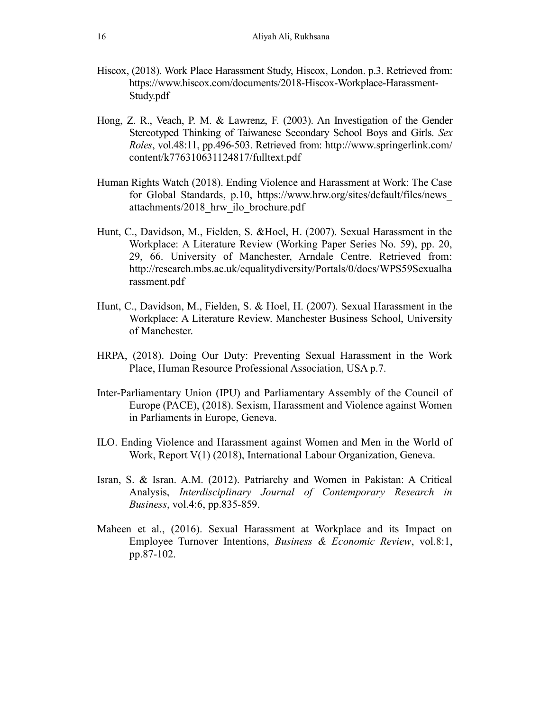- Hiscox, (2018). Work Place Harassment Study, Hiscox, London. p.3. Retrieved from: https://www.hiscox.com/documents/2018-Hiscox-Workplace-Harassment-Study.pdf
- Hong, Z. R., Veach, P. M. & Lawrenz, F. (2003). An Investigation of the Gender Stereotyped Thinking of Taiwanese Secondary School Boys and Girls. Sex Roles, vol.48:11, pp.496-503. Retrieved from: http://www.springerlink.com/ content/k776310631124817/fulltext.pdf
- Human Rights Watch (2018). Ending Violence and Harassment at Work: The Case for Global Standards, p.10, https://www.hrw.org/sites/default/files/news\_ attachments/2018\_hrw\_ilo\_brochure.pdf
- Hunt, C., Davidson, M., Fielden, S. &Hoel, H. (2007). Sexual Harassment in the Workplace: A Literature Review (Working Paper Series No. 59), pp. 20, 29, 66. University of Manchester, Arndale Centre. Retrieved from: http://research.mbs.ac.uk/equalitydiversity/Portals/0/docs/WPS59Sexualha rassment.pdf
- Hunt, C., Davidson, M., Fielden, S. & Hoel, H. (2007). Sexual Harassment in the Workplace: A Literature Review. Manchester Business School, University of Manchester.
- HRPA, (2018). Doing Our Duty: Preventing Sexual Harassment in the Work Place, Human Resource Professional Association, USA p.7.
- Inter-Parliamentary Union (IPU) and Parliamentary Assembly of the Council of Europe (PACE), (2018). Sexism, Harassment and Violence against Women in Parliaments in Europe, Geneva.
- ILO. Ending Violence and Harassment against Women and Men in the World of Work, Report V(1) (2018), International Labour Organization, Geneva.
- Isran, S. & Isran. A.M. (2012). Patriarchy and Women in Pakistan: A Critical Analysis, Interdisciplinary Journal of Contemporary Research in Business, vol.4:6, pp.835-859.
- Maheen et al., (2016). Sexual Harassment at Workplace and its Impact on Employee Turnover Intentions, Business & Economic Review, vol.8:1, pp.87-102.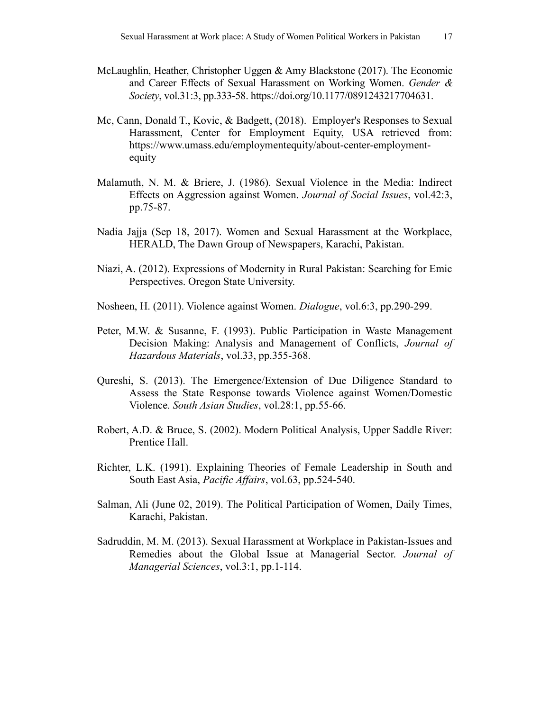- McLaughlin, Heather, Christopher Uggen & Amy Blackstone (2017). The Economic and Career Effects of Sexual Harassment on Working Women. Gender & Society, vol.31:3, pp.333-58. https://doi.org/10.1177/0891243217704631.
- Mc, Cann, Donald T., Kovic, & Badgett, (2018). Employer's Responses to Sexual Harassment, Center for Employment Equity, USA retrieved from: https://www.umass.edu/employmentequity/about-center-employmentequity
- Malamuth, N. M. & Briere, J. (1986). Sexual Violence in the Media: Indirect Effects on Aggression against Women. Journal of Social Issues, vol.42:3, pp.75-87.
- Nadia Jajja (Sep 18, 2017). Women and Sexual Harassment at the Workplace, HERALD, The Dawn Group of Newspapers, Karachi, Pakistan.
- Niazi, A. (2012). Expressions of Modernity in Rural Pakistan: Searching for Emic Perspectives. Oregon State University.
- Nosheen, H. (2011). Violence against Women. Dialogue, vol.6:3, pp.290-299.
- Peter, M.W. & Susanne, F. (1993). Public Participation in Waste Management Decision Making: Analysis and Management of Conflicts, Journal of Hazardous Materials, vol.33, pp.355-368.
- Qureshi, S. (2013). The Emergence/Extension of Due Diligence Standard to Assess the State Response towards Violence against Women/Domestic Violence. South Asian Studies, vol.28:1, pp.55-66.
- Robert, A.D. & Bruce, S. (2002). Modern Political Analysis, Upper Saddle River: Prentice Hall.
- Richter, L.K. (1991). Explaining Theories of Female Leadership in South and South East Asia, Pacific Affairs, vol.63, pp.524-540.
- Salman, Ali (June 02, 2019). The Political Participation of Women, Daily Times, Karachi, Pakistan.
- Sadruddin, M. M. (2013). Sexual Harassment at Workplace in Pakistan-Issues and Remedies about the Global Issue at Managerial Sector. Journal of Managerial Sciences, vol.3:1, pp.1-114.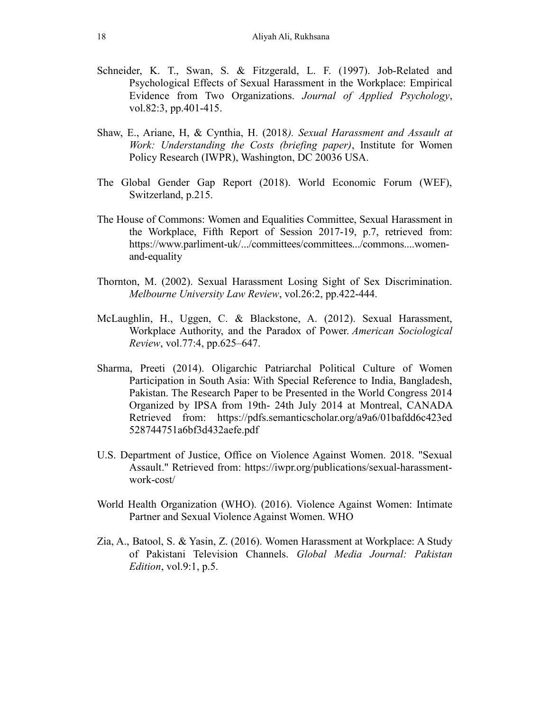- Schneider, K. T., Swan, S. & Fitzgerald, L. F. (1997). Job-Related and Psychological Effects of Sexual Harassment in the Workplace: Empirical Evidence from Two Organizations. Journal of Applied Psychology, vol.82:3, pp.401-415.
- Shaw, E., Ariane, H, & Cynthia, H. (2018). Sexual Harassment and Assault at Work: Understanding the Costs (briefing paper), Institute for Women Policy Research (IWPR), Washington, DC 20036 USA.
- The Global Gender Gap Report (2018). World Economic Forum (WEF), Switzerland, p.215.
- The House of Commons: Women and Equalities Committee, Sexual Harassment in the Workplace, Fifth Report of Session 2017-19, p.7, retrieved from: https://www.parliment-uk/.../committees/committees.../commons....womenand-equality
- Thornton, M. (2002). Sexual Harassment Losing Sight of Sex Discrimination. Melbourne University Law Review, vol.26:2, pp.422-444.
- McLaughlin, H., Uggen, C. & Blackstone, A. (2012). Sexual Harassment, Workplace Authority, and the Paradox of Power. American Sociological Review, vol.77:4, pp.625–647.
- Sharma, Preeti (2014). Oligarchic Patriarchal Political Culture of Women Participation in South Asia: With Special Reference to India, Bangladesh, Pakistan. The Research Paper to be Presented in the World Congress 2014 Organized by IPSA from 19th- 24th July 2014 at Montreal, CANADA Retrieved from: https://pdfs.semanticscholar.org/a9a6/01bafdd6c423ed 528744751a6bf3d432aefe.pdf
- U.S. Department of Justice, Office on Violence Against Women. 2018. "Sexual Assault." Retrieved from: https://iwpr.org/publications/sexual-harassmentwork-cost/
- World Health Organization (WHO). (2016). Violence Against Women: Intimate Partner and Sexual Violence Against Women. WHO
- Zia, A., Batool, S. & Yasin, Z. (2016). Women Harassment at Workplace: A Study of Pakistani Television Channels. Global Media Journal: Pakistan Edition, vol.9:1, p.5.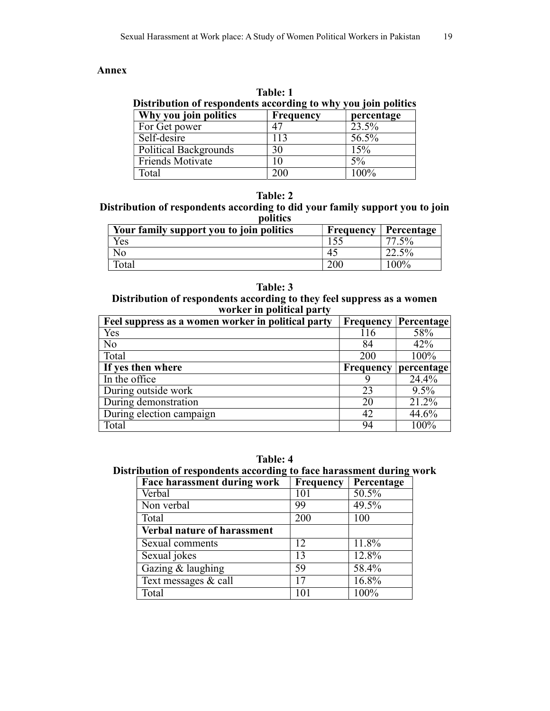### Annex

| <b>Table: 1</b><br>Distribution of respondents according to why you join politics |           |            |  |
|-----------------------------------------------------------------------------------|-----------|------------|--|
| Why you join politics                                                             | Frequency | percentage |  |
| For Get power                                                                     |           | 23.5%      |  |
| Self-desire                                                                       | 113       | 56.5%      |  |
| <b>Political Backgrounds</b>                                                      | 30        | 15%        |  |
| <b>Friends Motivate</b>                                                           | 10        | $5\%$      |  |
| Total                                                                             | 200       | $100\%$    |  |

### Table: 2

Distribution of respondents according to did your family support you to join politics

| Your family support you to join politics | Frequency | Percentage |
|------------------------------------------|-----------|------------|
| Yes                                      |           | $5\%$      |
| NО                                       | 4.        | $2.5\%$    |
| Total                                    |           | $100\%$    |

# Table: 3

Distribution of respondents according to they feel suppress as a women worker in political party

| Feel suppress as a women worker in political party | Frequency        | Percentage |
|----------------------------------------------------|------------------|------------|
| Yes                                                | 116              | 58%        |
| No                                                 | 84               | 42%        |
| Total                                              | 200              | 100%       |
| If yes then where                                  | <b>Frequency</b> | percentage |
| In the office                                      |                  | 24.4%      |
| During outside work                                | 23               | $9.5\%$    |
| During demonstration                               | 20               | 21.2%      |
| During election campaign                           | 42               | 44.6%      |
| Total                                              | 94               | 100%       |

Table: 4

# Distribution of respondents according to face harassment during work

| Face harassment during work        | <b>Frequency</b> | Percentage |
|------------------------------------|------------------|------------|
| Verbal                             | 101              | 50.5%      |
| Non verbal                         | 99               | 49.5%      |
| Total                              | 200              | 100        |
| <b>Verbal nature of harassment</b> |                  |            |
| Sexual comments                    | 12               | 11.8%      |
| Sexual jokes                       | 13               | 12.8%      |
| Gazing & laughing                  | 59               | 58.4%      |
| Text messages & call               | 17               | 16.8%      |
| Total                              |                  | 100%       |